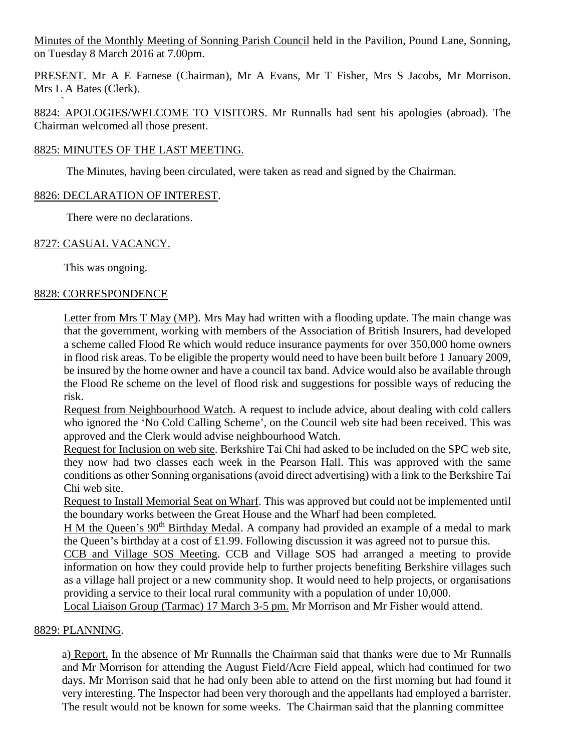Minutes of the Monthly Meeting of Sonning Parish Council held in the Pavilion, Pound Lane, Sonning, on Tuesday 8 March 2016 at 7.00pm.

PRESENT. Mr A E Farnese (Chairman), Mr A Evans, Mr T Fisher, Mrs S Jacobs, Mr Morrison. Mrs L A Bates (Clerk).

` 8824: APOLOGIES/WELCOME TO VISITORS. Mr Runnalls had sent his apologies (abroad). The Chairman welcomed all those present.

# 8825: MINUTES OF THE LAST MEETING.

The Minutes, having been circulated, were taken as read and signed by the Chairman.

# 8826: DECLARATION OF INTEREST.

There were no declarations.

# 8727: CASUAL VACANCY.

This was ongoing.

## 8828: CORRESPONDENCE

Letter from Mrs T May (MP). Mrs May had written with a flooding update. The main change was that the government, working with members of the Association of British Insurers, had developed a scheme called Flood Re which would reduce insurance payments for over 350,000 home owners in flood risk areas. To be eligible the property would need to have been built before 1 January 2009, be insured by the home owner and have a council tax band. Advice would also be available through the Flood Re scheme on the level of flood risk and suggestions for possible ways of reducing the risk.

Request from Neighbourhood Watch. A request to include advice, about dealing with cold callers who ignored the 'No Cold Calling Scheme', on the Council web site had been received. This was approved and the Clerk would advise neighbourhood Watch.

Request for Inclusion on web site. Berkshire Tai Chi had asked to be included on the SPC web site, they now had two classes each week in the Pearson Hall. This was approved with the same conditions as other Sonning organisations (avoid direct advertising) with a link to the Berkshire Tai Chi web site.

Request to Install Memorial Seat on Wharf. This was approved but could not be implemented until the boundary works between the Great House and the Wharf had been completed.

H M the Queen's 90<sup>th</sup> Birthday Medal. A company had provided an example of a medal to mark the Queen's birthday at a cost of £1.99. Following discussion it was agreed not to pursue this.

CCB and Village SOS Meeting. CCB and Village SOS had arranged a meeting to provide information on how they could provide help to further projects benefiting Berkshire villages such as a village hall project or a new community shop. It would need to help projects, or organisations providing a service to their local rural community with a population of under 10,000.

Local Liaison Group (Tarmac) 17 March 3-5 pm. Mr Morrison and Mr Fisher would attend.

# 8829: PLANNING.

a) Report. In the absence of Mr Runnalls the Chairman said that thanks were due to Mr Runnalls and Mr Morrison for attending the August Field/Acre Field appeal, which had continued for two days. Mr Morrison said that he had only been able to attend on the first morning but had found it very interesting. The Inspector had been very thorough and the appellants had employed a barrister. The result would not be known for some weeks. The Chairman said that the planning committee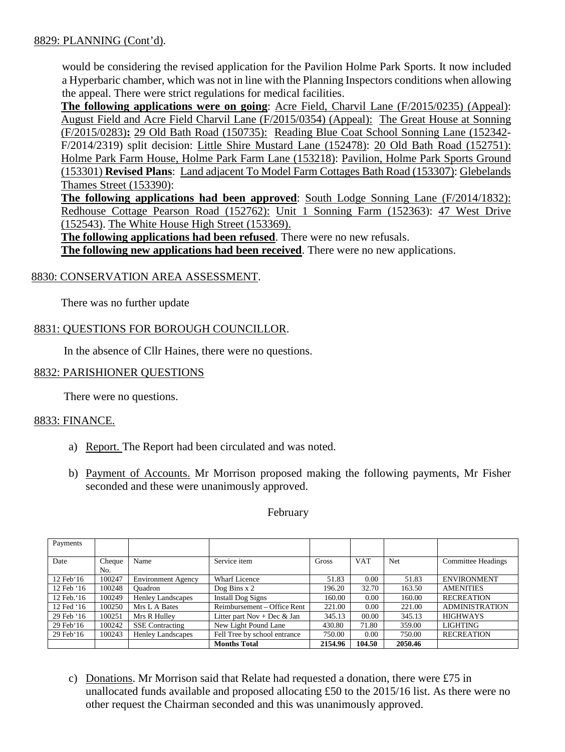# 8829: PLANNING (Cont'd).

would be considering the revised application for the Pavilion Holme Park Sports. It now included a Hyperbaric chamber, which was not in line with the Planning Inspectors conditions when allowing the appeal. There were strict regulations for medical facilities.

**The following applications were on going**: Acre Field, Charvil Lane (F/2015/0235) (Appeal): August Field and Acre Field Charvil Lane (F/2015/0354) (Appeal): The Great House at Sonning (F/2015/0283)**:** 29 Old Bath Road (150735): Reading Blue Coat School Sonning Lane (152342- F/2014/2319) split decision: Little Shire Mustard Lane (152478): 20 Old Bath Road (152751): Holme Park Farm House, Holme Park Farm Lane (153218): Pavilion, Holme Park Sports Ground (153301) **Revised Plans**: Land adjacent To Model Farm Cottages Bath Road (153307): Glebelands Thames Street (153390):

**The following applications had been approved**: South Lodge Sonning Lane (F/2014/1832): Redhouse Cottage Pearson Road (152762): Unit 1 Sonning Farm (152363): 47 West Drive (152543). The White House High Street (153369).

**The following applications had been refused**. There were no new refusals.

**The following new applications had been received**. There were no new applications.

# 8830: CONSERVATION AREA ASSESSMENT.

There was no further update

# 8831: QUESTIONS FOR BOROUGH COUNCILLOR.

In the absence of Cllr Haines, there were no questions.

### 8832: PARISHIONER QUESTIONS

There were no questions.

## 8833: FINANCE.

- a) Report. The Report had been circulated and was noted.
- b) Payment of Accounts. Mr Morrison proposed making the following payments, Mr Fisher seconded and these were unanimously approved.

#### February

| Payments            |               |                           |                              |         |            |            |                           |
|---------------------|---------------|---------------------------|------------------------------|---------|------------|------------|---------------------------|
| Date                | Cheque<br>No. | Name                      | Service item                 | Gross   | <b>VAT</b> | <b>Net</b> | <b>Committee Headings</b> |
| $12 \text{ Feb} 16$ | 100247        | <b>Environment Agency</b> | <b>Wharf Licence</b>         | 51.83   | 0.00       | 51.83      | <b>ENVIRONMENT</b>        |
| 12 Feb '16          | 100248        | Ouadron                   | Dog Bins $x$ 2               | 196.20  | 32.70      | 163.50     | <b>AMENITIES</b>          |
| 12 Feb. 16          | 100249        | <b>Henley Landscapes</b>  | Install Dog Signs            | 160.00  | 0.00       | 160.00     | <b>RECREATION</b>         |
| 12 Fed '16          | 100250        | Mrs L A Bates             | Reimbursement – Office Rent  | 221.00  | 0.00       | 221.00     | <b>ADMINISTRATION</b>     |
| 29 Feb '16          | 100251        | Mrs R Hulley              | Litter part Nov + Dec & Jan  | 345.13  | 00.00      | 345.13     | <b>HIGHWAYS</b>           |
| $29$ Feb $16$       | 100242        | <b>SSE</b> Contracting    | New Light Pound Lane         | 430.80  | 71.80      | 359.00     | <b>LIGHTING</b>           |
| $29$ Feb $16$       | 100243        | <b>Henley Landscapes</b>  | Fell Tree by school entrance | 750.00  | 0.00       | 750.00     | <b>RECREATION</b>         |
|                     |               |                           | <b>Months Total</b>          | 2154.96 | 104.50     | 2050.46    |                           |

c) Donations. Mr Morrison said that Relate had requested a donation, there were £75 in unallocated funds available and proposed allocating £50 to the 2015/16 list. As there were no other request the Chairman seconded and this was unanimously approved.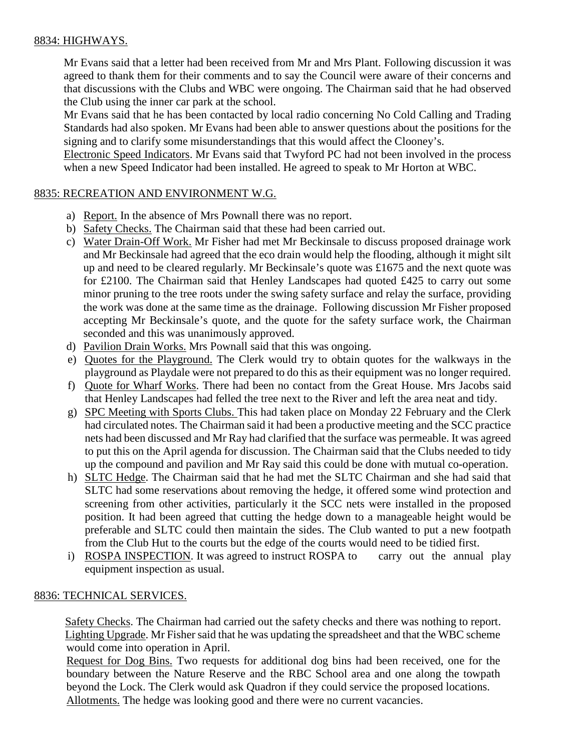# 8834: HIGHWAYS.

Mr Evans said that a letter had been received from Mr and Mrs Plant. Following discussion it was agreed to thank them for their comments and to say the Council were aware of their concerns and that discussions with the Clubs and WBC were ongoing. The Chairman said that he had observed the Club using the inner car park at the school.

Mr Evans said that he has been contacted by local radio concerning No Cold Calling and Trading Standards had also spoken. Mr Evans had been able to answer questions about the positions for the signing and to clarify some misunderstandings that this would affect the Clooney's.

Electronic Speed Indicators. Mr Evans said that Twyford PC had not been involved in the process when a new Speed Indicator had been installed. He agreed to speak to Mr Horton at WBC.

# 8835: RECREATION AND ENVIRONMENT W.G.

- a) Report. In the absence of Mrs Pownall there was no report.
- b) Safety Checks. The Chairman said that these had been carried out.
- c) Water Drain-Off Work. Mr Fisher had met Mr Beckinsale to discuss proposed drainage work and Mr Beckinsale had agreed that the eco drain would help the flooding, although it might silt up and need to be cleared regularly. Mr Beckinsale's quote was £1675 and the next quote was for £2100. The Chairman said that Henley Landscapes had quoted £425 to carry out some minor pruning to the tree roots under the swing safety surface and relay the surface, providing the work was done at the same time as the drainage. Following discussion Mr Fisher proposed accepting Mr Beckinsale's quote, and the quote for the safety surface work, the Chairman seconded and this was unanimously approved.
- d) Pavilion Drain Works. Mrs Pownall said that this was ongoing.
- e) Quotes for the Playground. The Clerk would try to obtain quotes for the walkways in the playground as Playdale were not prepared to do this as their equipment was no longer required.
- f) Quote for Wharf Works. There had been no contact from the Great House. Mrs Jacobs said that Henley Landscapes had felled the tree next to the River and left the area neat and tidy.
- g) SPC Meeting with Sports Clubs. This had taken place on Monday 22 February and the Clerk had circulated notes. The Chairman said it had been a productive meeting and the SCC practice nets had been discussed and Mr Ray had clarified that the surface was permeable. It was agreed to put this on the April agenda for discussion. The Chairman said that the Clubs needed to tidy up the compound and pavilion and Mr Ray said this could be done with mutual co-operation.
- h) SLTC Hedge. The Chairman said that he had met the SLTC Chairman and she had said that SLTC had some reservations about removing the hedge, it offered some wind protection and screening from other activities, particularly it the SCC nets were installed in the proposed position. It had been agreed that cutting the hedge down to a manageable height would be preferable and SLTC could then maintain the sides. The Club wanted to put a new footpath from the Club Hut to the courts but the edge of the courts would need to be tidied first.
- i) ROSPA INSPECTION. It was agreed to instruct ROSPA to carry out the annual play equipment inspection as usual.

# 8836: TECHNICAL SERVICES.

 Safety Checks. The Chairman had carried out the safety checks and there was nothing to report. Lighting Upgrade. Mr Fisher said that he was updating the spreadsheet and that the WBC scheme would come into operation in April.

Request for Dog Bins. Two requests for additional dog bins had been received, one for the boundary between the Nature Reserve and the RBC School area and one along the towpath beyond the Lock. The Clerk would ask Quadron if they could service the proposed locations. Allotments. The hedge was looking good and there were no current vacancies.